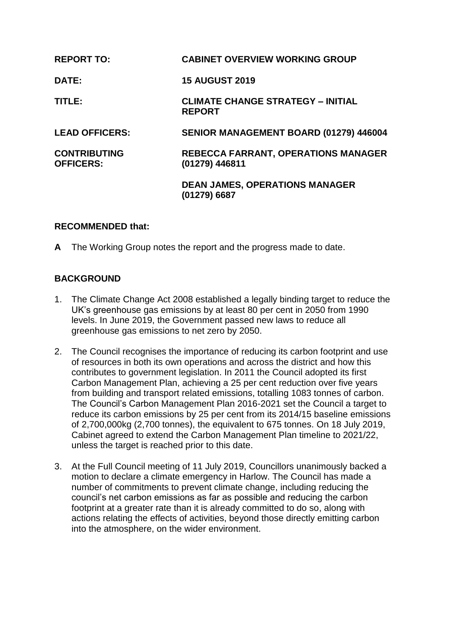| <b>REPORT TO:</b>                       | <b>CABINET OVERVIEW WORKING GROUP</b>                        |
|-----------------------------------------|--------------------------------------------------------------|
| DATE:                                   | <b>15 AUGUST 2019</b>                                        |
| TITLE:                                  | <b>CLIMATE CHANGE STRATEGY - INITIAL</b><br><b>REPORT</b>    |
| <b>LEAD OFFICERS:</b>                   | SENIOR MANAGEMENT BOARD (01279) 446004                       |
| <b>CONTRIBUTING</b><br><b>OFFICERS:</b> | <b>REBECCA FARRANT, OPERATIONS MANAGER</b><br>(01279) 446811 |
|                                         | <b>DEAN JAMES, OPERATIONS MANAGER</b><br>(01279) 6687        |

### **RECOMMENDED that:**

**A** The Working Group notes the report and the progress made to date.

### **BACKGROUND**

- 1. The Climate Change Act 2008 established a legally binding target to reduce the UK's greenhouse gas emissions by at least 80 per cent in 2050 from 1990 levels. In June 2019, the Government passed new laws to reduce all greenhouse gas emissions to net zero by 2050.
- 2. The Council recognises the importance of reducing its carbon footprint and use of resources in both its own operations and across the district and how this contributes to government legislation. In 2011 the Council adopted its first Carbon Management Plan, achieving a 25 per cent reduction over five years from building and transport related emissions, totalling 1083 tonnes of carbon. The Council's Carbon Management Plan 2016-2021 set the Council a target to reduce its carbon emissions by 25 per cent from its 2014/15 baseline emissions of 2,700,000kg (2,700 tonnes), the equivalent to 675 tonnes. On 18 July 2019, Cabinet agreed to extend the Carbon Management Plan timeline to 2021/22, unless the target is reached prior to this date.
- 3. At the Full Council meeting of 11 July 2019, Councillors unanimously backed a motion to declare a climate emergency in Harlow. The Council has made a number of commitments to prevent climate change, including reducing the council's net carbon emissions as far as possible and reducing the carbon footprint at a greater rate than it is already committed to do so, along with actions relating the effects of activities, beyond those directly emitting carbon into the atmosphere, on the wider environment.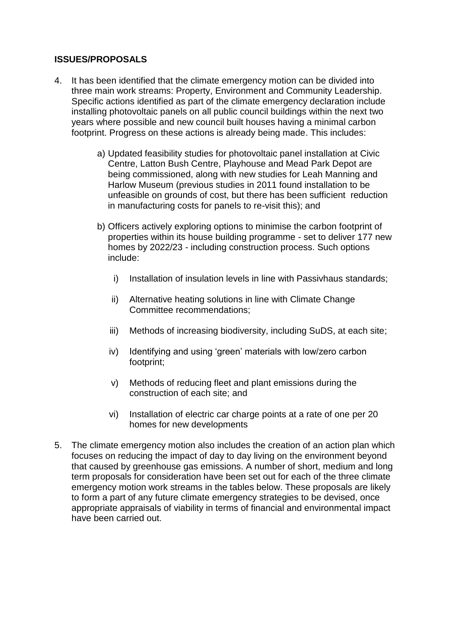### **ISSUES/PROPOSALS**

- 4. It has been identified that the climate emergency motion can be divided into three main work streams: Property, Environment and Community Leadership. Specific actions identified as part of the climate emergency declaration include installing photovoltaic panels on all public council buildings within the next two years where possible and new council built houses having a minimal carbon footprint. Progress on these actions is already being made. This includes:
	- a) Updated feasibility studies for photovoltaic panel installation at Civic Centre, Latton Bush Centre, Playhouse and Mead Park Depot are being commissioned, along with new studies for Leah Manning and Harlow Museum (previous studies in 2011 found installation to be unfeasible on grounds of cost, but there has been sufficient reduction in manufacturing costs for panels to re-visit this); and
	- b) Officers actively exploring options to minimise the carbon footprint of properties within its house building programme - set to deliver 177 new homes by 2022/23 - including construction process. Such options include:
		- i) Installation of insulation levels in line with Passivhaus standards;
		- ii) Alternative heating solutions in line with Climate Change Committee recommendations;
		- iii) Methods of increasing biodiversity, including SuDS, at each site;
		- iv) Identifying and using 'green' materials with low/zero carbon footprint;
		- v) Methods of reducing fleet and plant emissions during the construction of each site; and
		- vi) Installation of electric car charge points at a rate of one per 20 homes for new developments
- 5. The climate emergency motion also includes the creation of an action plan which focuses on reducing the impact of day to day living on the environment beyond that caused by greenhouse gas emissions. A number of short, medium and long term proposals for consideration have been set out for each of the three climate emergency motion work streams in the tables below. These proposals are likely to form a part of any future climate emergency strategies to be devised, once appropriate appraisals of viability in terms of financial and environmental impact have been carried out.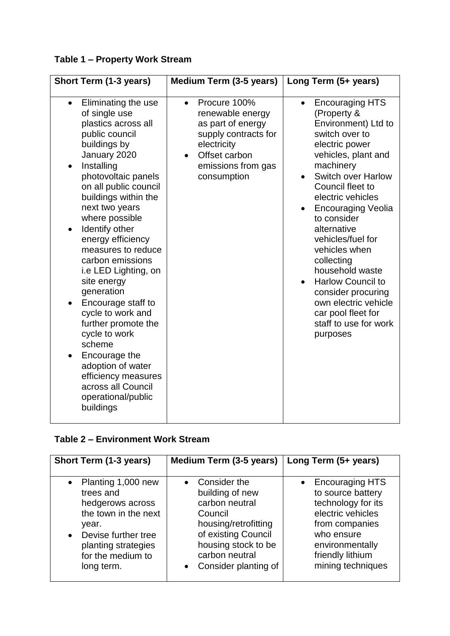# **Table 1 – Property Work Stream**

| Short Term (1-3 years)                                                                                                                                                                                                                                                                                                                                                                                                                                                                                                                                                                                                     | Medium Term (3-5 years)                                                                                                                                         | Long Term (5+ years)                                                                                                                                                                                                                                                                                                                                                                                                                                                                           |
|----------------------------------------------------------------------------------------------------------------------------------------------------------------------------------------------------------------------------------------------------------------------------------------------------------------------------------------------------------------------------------------------------------------------------------------------------------------------------------------------------------------------------------------------------------------------------------------------------------------------------|-----------------------------------------------------------------------------------------------------------------------------------------------------------------|------------------------------------------------------------------------------------------------------------------------------------------------------------------------------------------------------------------------------------------------------------------------------------------------------------------------------------------------------------------------------------------------------------------------------------------------------------------------------------------------|
| Eliminating the use<br>$\bullet$<br>of single use<br>plastics across all<br>public council<br>buildings by<br>January 2020<br>Installing<br>photovoltaic panels<br>on all public council<br>buildings within the<br>next two years<br>where possible<br>Identify other<br>$\bullet$<br>energy efficiency<br>measures to reduce<br>carbon emissions<br>i.e LED Lighting, on<br>site energy<br>generation<br>Encourage staff to<br>cycle to work and<br>further promote the<br>cycle to work<br>scheme<br>Encourage the<br>adoption of water<br>efficiency measures<br>across all Council<br>operational/public<br>buildings | Procure 100%<br>$\bullet$<br>renewable energy<br>as part of energy<br>supply contracts for<br>electricity<br>Offset carbon<br>emissions from gas<br>consumption | <b>Encouraging HTS</b><br>$\bullet$<br>(Property &<br>Environment) Ltd to<br>switch over to<br>electric power<br>vehicles, plant and<br>machinery<br><b>Switch over Harlow</b><br>Council fleet to<br>electric vehicles<br><b>Encouraging Veolia</b><br>to consider<br>alternative<br>vehicles/fuel for<br>vehicles when<br>collecting<br>household waste<br><b>Harlow Council to</b><br>consider procuring<br>own electric vehicle<br>car pool fleet for<br>staff to use for work<br>purposes |

## **Table 2 – Environment Work Stream**

| Short Term (1-3 years)                                                                                                                                                                          | <b>Medium Term (3-5 years)</b>                                                                                                                                                            | Long Term (5+ years)                                                                                                                                                               |
|-------------------------------------------------------------------------------------------------------------------------------------------------------------------------------------------------|-------------------------------------------------------------------------------------------------------------------------------------------------------------------------------------------|------------------------------------------------------------------------------------------------------------------------------------------------------------------------------------|
| Planting 1,000 new<br>$\bullet$<br>trees and<br>hedgerows across<br>the town in the next<br>year.<br>Devise further tree<br>$\bullet$<br>planting strategies<br>for the medium to<br>long term. | Consider the<br>$\bullet$<br>building of new<br>carbon neutral<br>Council<br>housing/retrofitting<br>of existing Council<br>housing stock to be<br>carbon neutral<br>Consider planting of | <b>Encouraging HTS</b><br>to source battery<br>technology for its<br>electric vehicles<br>from companies<br>who ensure<br>environmentally<br>friendly lithium<br>mining techniques |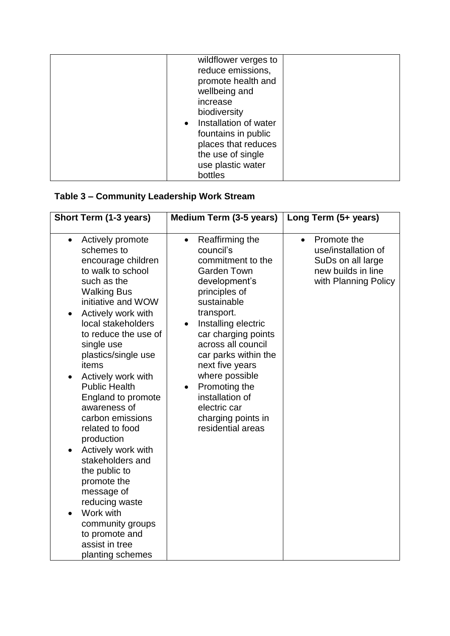| wildflower verges to  |  |
|-----------------------|--|
| reduce emissions,     |  |
| promote health and    |  |
| wellbeing and         |  |
| increase              |  |
| biodiversity          |  |
| Installation of water |  |
| fountains in public   |  |
| places that reduces   |  |
| the use of single     |  |
| use plastic water     |  |
| bottles               |  |

# **Table 3 – Community Leadership Work Stream**

| Short Term (1-3 years)                                                                                                                                                                                                                                                                                                                                                                                                                                                                                                                                                                                          | <b>Medium Term (3-5 years)</b>                                                                                                                                                                                                                                                                                                                                                                   | Long Term (5+ years)                                                                                               |
|-----------------------------------------------------------------------------------------------------------------------------------------------------------------------------------------------------------------------------------------------------------------------------------------------------------------------------------------------------------------------------------------------------------------------------------------------------------------------------------------------------------------------------------------------------------------------------------------------------------------|--------------------------------------------------------------------------------------------------------------------------------------------------------------------------------------------------------------------------------------------------------------------------------------------------------------------------------------------------------------------------------------------------|--------------------------------------------------------------------------------------------------------------------|
| Actively promote<br>schemes to<br>encourage children<br>to walk to school<br>such as the<br><b>Walking Bus</b><br>initiative and WOW<br>Actively work with<br>local stakeholders<br>to reduce the use of<br>single use<br>plastics/single use<br>items<br>Actively work with<br>$\bullet$<br><b>Public Health</b><br>England to promote<br>awareness of<br>carbon emissions<br>related to food<br>production<br>Actively work with<br>stakeholders and<br>the public to<br>promote the<br>message of<br>reducing waste<br>Work with<br>community groups<br>to promote and<br>assist in tree<br>planting schemes | Reaffirming the<br>$\bullet$<br>council's<br>commitment to the<br><b>Garden Town</b><br>development's<br>principles of<br>sustainable<br>transport.<br>Installing electric<br>car charging points<br>across all council<br>car parks within the<br>next five years<br>where possible<br>Promoting the<br>$\bullet$<br>installation of<br>electric car<br>charging points in<br>residential areas | Promote the<br>$\bullet$<br>use/installation of<br>SuDs on all large<br>new builds in line<br>with Planning Policy |